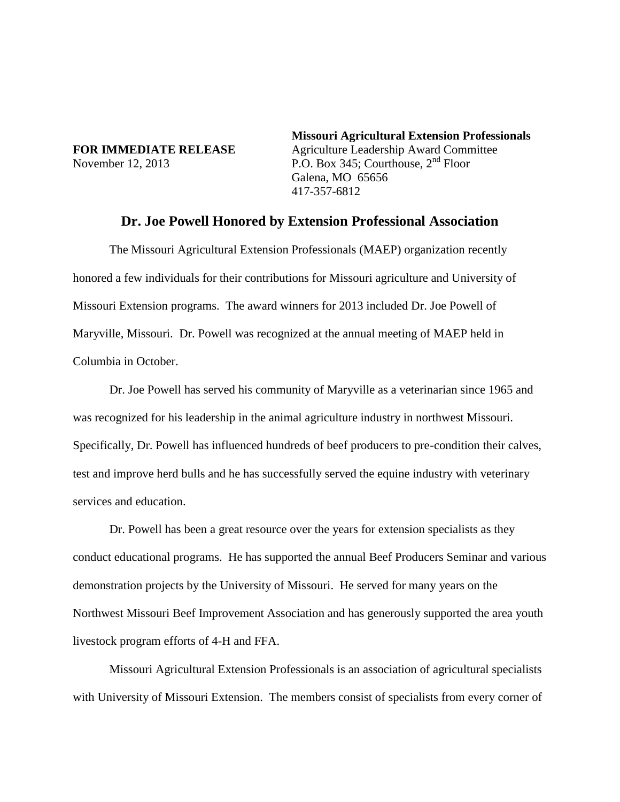**Missouri Agricultural Extension Professionals FOR IMMEDIATE RELEASE** Agriculture Leadership Award Committee November 12, 2013 P.O. Box 345; Courthouse,  $2<sup>nd</sup>$  Floor Galena, MO 65656 417-357-6812

## **Dr. Joe Powell Honored by Extension Professional Association**

The Missouri Agricultural Extension Professionals (MAEP) organization recently honored a few individuals for their contributions for Missouri agriculture and University of Missouri Extension programs. The award winners for 2013 included Dr. Joe Powell of Maryville, Missouri. Dr. Powell was recognized at the annual meeting of MAEP held in Columbia in October.

Dr. Joe Powell has served his community of Maryville as a veterinarian since 1965 and was recognized for his leadership in the animal agriculture industry in northwest Missouri. Specifically, Dr. Powell has influenced hundreds of beef producers to pre-condition their calves, test and improve herd bulls and he has successfully served the equine industry with veterinary services and education.

Dr. Powell has been a great resource over the years for extension specialists as they conduct educational programs. He has supported the annual Beef Producers Seminar and various demonstration projects by the University of Missouri. He served for many years on the Northwest Missouri Beef Improvement Association and has generously supported the area youth livestock program efforts of 4-H and FFA.

Missouri Agricultural Extension Professionals is an association of agricultural specialists with University of Missouri Extension. The members consist of specialists from every corner of